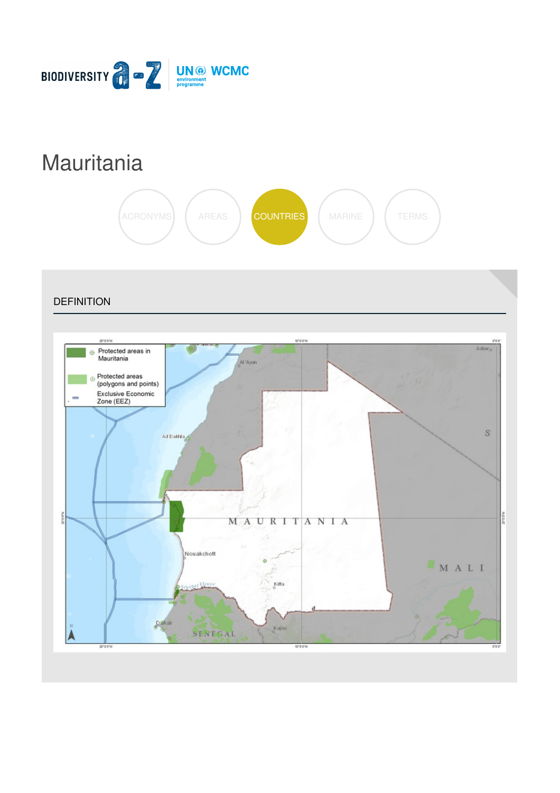

# **[Mauritania](https://biodiversitya-z.org/content/mauritania)**



**DEFINITION** Adrar Protected areas in **⊕** Mauritania Al 'Ayun Protected areas (polygons and points) Exclusive Economic<br>Zone (EEZ) S Ad Dakhla **SERVICE** MAURITANIA Nouakchott  $\oplus$ MALI al Eleup Kiffa  $Da$ Kayes SENEGAL  $20'0'0$ 10'0'0'W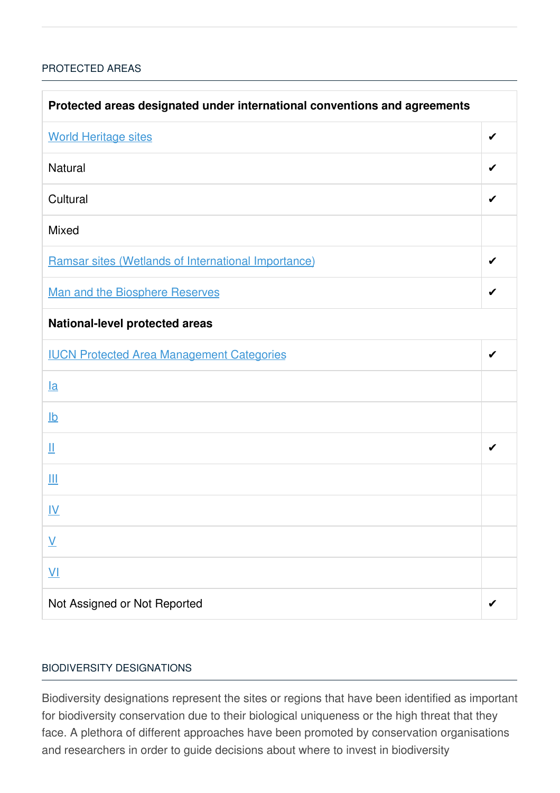### [PROTECTED](javascript:void(0)) AREAS

| Protected areas designated under international conventions and agreements |   |  |
|---------------------------------------------------------------------------|---|--|
| <b>World Heritage sites</b>                                               | ✔ |  |
| <b>Natural</b>                                                            | ✔ |  |
| Cultural                                                                  | ✔ |  |
| <b>Mixed</b>                                                              |   |  |
| Ramsar sites (Wetlands of International Importance)                       | ✔ |  |
| <b>Man and the Biosphere Reserves</b>                                     | ✔ |  |
| National-level protected areas                                            |   |  |
| <b>IUCN Protected Area Management Categories</b>                          | ✔ |  |
| $l$ a                                                                     |   |  |
| $\underline{\mathsf{lb}}$                                                 |   |  |
| Щ                                                                         | ✔ |  |
| Ш                                                                         |   |  |
| <u>IV</u>                                                                 |   |  |
| $\underline{\mathsf{V}}$                                                  |   |  |
| $\underline{V}$                                                           |   |  |
| Not Assigned or Not Reported                                              |   |  |

#### BIODIVERSITY [DESIGNATIONS](javascript:void(0))

Biodiversity designations represent the sites or regions that have been identified as important for biodiversity conservation due to their biological uniqueness or the high threat that they face. A plethora of different approaches have been promoted by conservation organisations and researchers in order to guide decisions about where to invest in biodiversity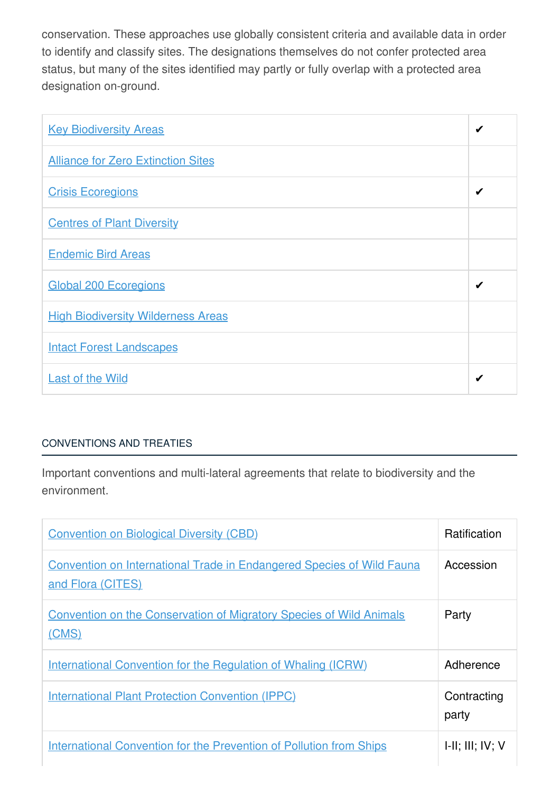conservation. These approaches use globally consistent criteria and available data in order to identify and classify sites. The designations themselves do not confer protected area status, but many of the sites identified may partly or fully overlap with a protected area designation on-ground.

| <b>Key Biodiversity Areas</b>             | ✔ |
|-------------------------------------------|---|
| <b>Alliance for Zero Extinction Sites</b> |   |
| <b>Crisis Ecoregions</b>                  | ✔ |
| <b>Centres of Plant Diversity</b>         |   |
| <b>Endemic Bird Areas</b>                 |   |
| <b>Global 200 Ecoregions</b>              | ✔ |
| <b>High Biodiversity Wilderness Areas</b> |   |
| <b>Intact Forest Landscapes</b>           |   |
| <b>Last of the Wild</b>                   | ✔ |

## [CONVENTIONS](javascript:void(0)) AND TREATIES

Important conventions and multi-lateral agreements that relate to biodiversity and the environment.

| <b>Convention on Biological Diversity (CBD)</b>                                                   | <b>Ratification</b>         |
|---------------------------------------------------------------------------------------------------|-----------------------------|
| <b>Convention on International Trade in Endangered Species of Wild Fauna</b><br>and Flora (CITES) | Accession                   |
| <b>Convention on the Conservation of Migratory Species of Wild Animals</b><br>(CMS)               | Party                       |
| <u>International Convention for the Regulation of Whaling (ICRW)</u>                              | Adherence                   |
| <b>International Plant Protection Convention (IPPC)</b>                                           | Contracting<br>party        |
| <b>International Convention for the Prevention of Pollution from Ships</b>                        | $I-II$ ; $III$ ; $IV$ ; $V$ |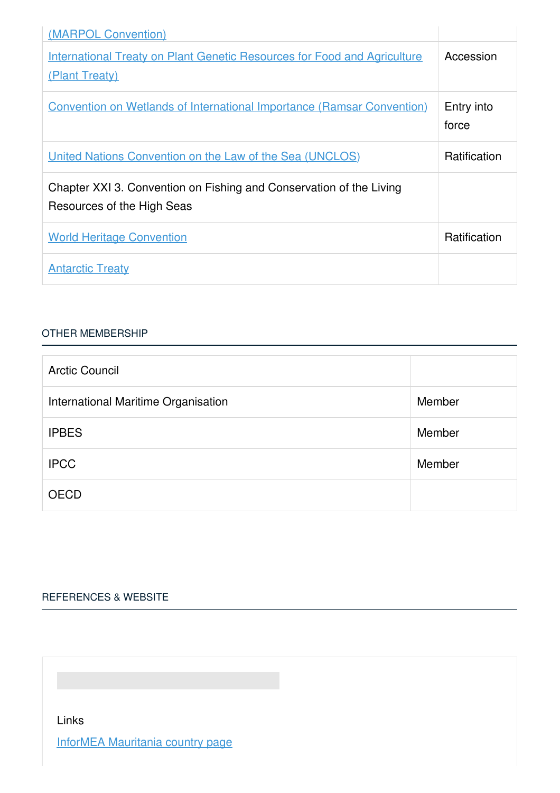| (MARPOL Convention)                                                                               |                     |
|---------------------------------------------------------------------------------------------------|---------------------|
| <b>International Treaty on Plant Genetic Resources for Food and Agriculture</b><br>(Plant Treaty) | Accession           |
| <b>Convention on Wetlands of International Importance (Ramsar Convention)</b>                     | Entry into<br>force |
| <u><b>United Nations Convention on the Law of the Sea (UNCLOS)</b></u>                            | <b>Ratification</b> |
| Chapter XXI 3. Convention on Fishing and Conservation of the Living<br>Resources of the High Seas |                     |
| <b>World Heritage Convention</b>                                                                  | Ratification        |
| <b>Antarctic Treaty</b>                                                                           |                     |

#### OTHER [MEMBERSHIP](javascript:void(0))

| <b>Arctic Council</b>               |        |
|-------------------------------------|--------|
| International Maritime Organisation | Member |
| <b>IPBES</b>                        | Member |
| <b>IPCC</b>                         | Member |
| <b>OECD</b>                         |        |

# [REFERENCES](javascript:void(0)) & WEBSITE

Links

InforMEA [Mauritania](https://www.informea.org/countries/MR) country page